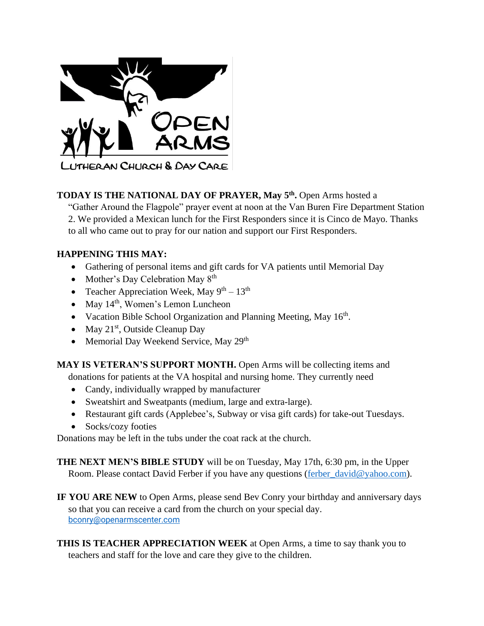

## **TODAY IS THE NATIONAL DAY OF PRAYER, May 5th .** Open Arms hosted a

"Gather Around the Flagpole" prayer event at noon at the Van Buren Fire Department Station 2. We provided a Mexican lunch for the First Responders since it is Cinco de Mayo. Thanks to all who came out to pray for our nation and support our First Responders.

## **HAPPENING THIS MAY:**

- Gathering of personal items and gift cards for VA patients until Memorial Day
- Mother's Day Celebration May 8<sup>th</sup>
- Teacher Appreciation Week, May  $9^{th} 13^{th}$
- May  $14<sup>th</sup>$ , Women's Lemon Luncheon
- Vacation Bible School Organization and Planning Meeting, May  $16<sup>th</sup>$ .
- May  $21<sup>st</sup>$ , Outside Cleanup Day
- Memorial Day Weekend Service, May 29<sup>th</sup>

**MAY IS VETERAN'S SUPPORT MONTH.** Open Arms will be collecting items and

donations for patients at the VA hospital and nursing home. They currently need

- Candy, individually wrapped by manufacturer
- Sweatshirt and Sweatpants (medium, large and extra-large).
- Restaurant gift cards (Applebee's, Subway or visa gift cards) for take-out Tuesdays.
- Socks/cozy footies

Donations may be left in the tubs under the coat rack at the church.

**THE NEXT MEN'S BIBLE STUDY** will be on Tuesday, May 17th, 6:30 pm, in the Upper Room. Please contact David Ferber if you have any questions [\(ferber\\_david@yahoo.com\)](mailto:ferber_david@yahoo.com).

**IF YOU ARE NEW** to Open Arms, please send Bev Conry your birthday and anniversary days so that you can receive a card from the church on your special day. [bconry@openarmscenter.com](mailto:bconry@openarmscenter.com)

**THIS IS TEACHER APPRECIATION WEEK** at Open Arms, a time to say thank you to teachers and staff for the love and care they give to the children.